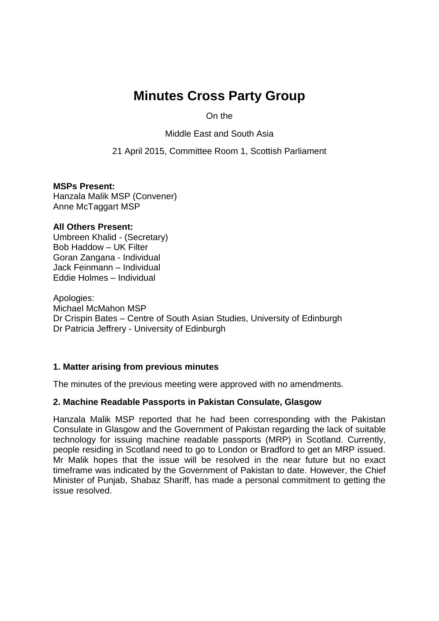# **Minutes Cross Party Group**

On the

Middle East and South Asia

21 April 2015, Committee Room 1, Scottish Parliament

**MSPs Present:** Hanzala Malik MSP (Convener) Anne McTaggart MSP

#### **All Others Present:**

Umbreen Khalid - (Secretary) Bob Haddow – UK Filter Goran Zangana - Individual Jack Feinmann – Individual Eddie Holmes – Individual

Apologies: Michael McMahon MSP Dr Crispin Bates – Centre of South Asian Studies, University of Edinburgh Dr Patricia Jeffrery - University of Edinburgh

## **1. Matter arising from previous minutes**

The minutes of the previous meeting were approved with no amendments.

#### **2. Machine Readable Passports in Pakistan Consulate, Glasgow**

Hanzala Malik MSP reported that he had been corresponding with the Pakistan Consulate in Glasgow and the Government of Pakistan regarding the lack of suitable technology for issuing machine readable passports (MRP) in Scotland. Currently, people residing in Scotland need to go to London or Bradford to get an MRP issued. Mr Malik hopes that the issue will be resolved in the near future but no exact timeframe was indicated by the Government of Pakistan to date. However, the Chief Minister of Punjab, Shabaz Shariff, has made a personal commitment to getting the issue resolved.